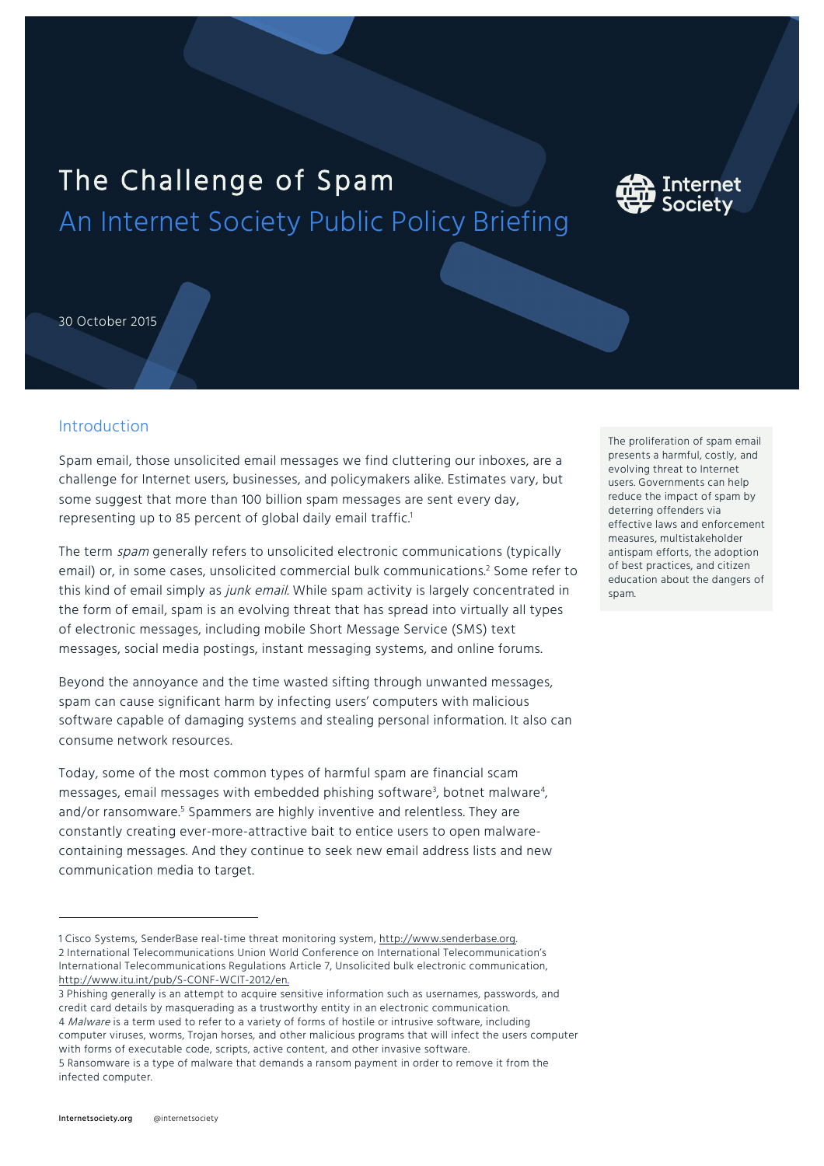# The Challenge of Spam An Internet Society Public Policy Briefing



30 October 2015

## Introduction

Spam email, those unsolicited email messages we find cluttering our inboxes, are a challenge for Internet users, businesses, and policymakers alike. Estimates vary, but some suggest that more than 100 billion spam messages are sent every day, representing up to 85 percent of global daily email traffic.<sup>1</sup>

The term spam generally refers to unsolicited electronic communications (typically email) or, in some cases, unsolicited commercial bulk communications.<sup>2</sup> Some refer to this kind of email simply as junk email. While spam activity is largely concentrated in the form of email, spam is an evolving threat that has spread into virtually all types of electronic messages, including mobile Short Message Service (SMS) text messages, social media postings, instant messaging systems, and online forums.

Beyond the annoyance and the time wasted sifting through unwanted messages, spam can cause significant harm by infecting users' computers with malicious software capable of damaging systems and stealing personal information. It also can consume network resources.

Today, some of the most common types of harmful spam are financial scam messages, email messages with embedded phishing software $^{\mathfrak{z}},$  botnet malware $^{\mathfrak{z}},$ and/or ransomware.<sup>5</sup> Spammers are highly inventive and relentless. They are constantly creating ever-more-attractive bait to entice users to open malwarecontaining messages. And they continue to seek new email address lists and new communication media to target.

The proliferation of spam email presents a harmful, costly, and evolving threat to Internet users. Governments can help reduce the impact of spam by deterring offenders via effective laws and enforcement measures, multistakeholder antispam efforts, the adoption of best practices, and citizen education about the dangers of spam.

l

<sup>1</sup> Cisco Systems, SenderBase real-time threat monitoring system, http://www.senderbase.org. 2 International Telecommunications Union World Conference on International Telecommunication's International Telecommunications Regulations Article 7, Unsolicited bulk electronic communication, http://www.itu.int/pub/S-CONF-WCIT-2012/en.

<sup>3</sup> Phishing generally is an attempt to acquire sensitive information such as usernames, passwords, and credit card details by masquerading as a trustworthy entity in an electronic communication. 4 Malware is a term used to refer to a variety of forms of hostile or intrusive software, including computer viruses, worms, Trojan horses, and other malicious programs that will infect the users computer with forms of executable code, scripts, active content, and other invasive software. 5 Ransomware is a type of malware that demands a ransom payment in order to remove it from the infected computer.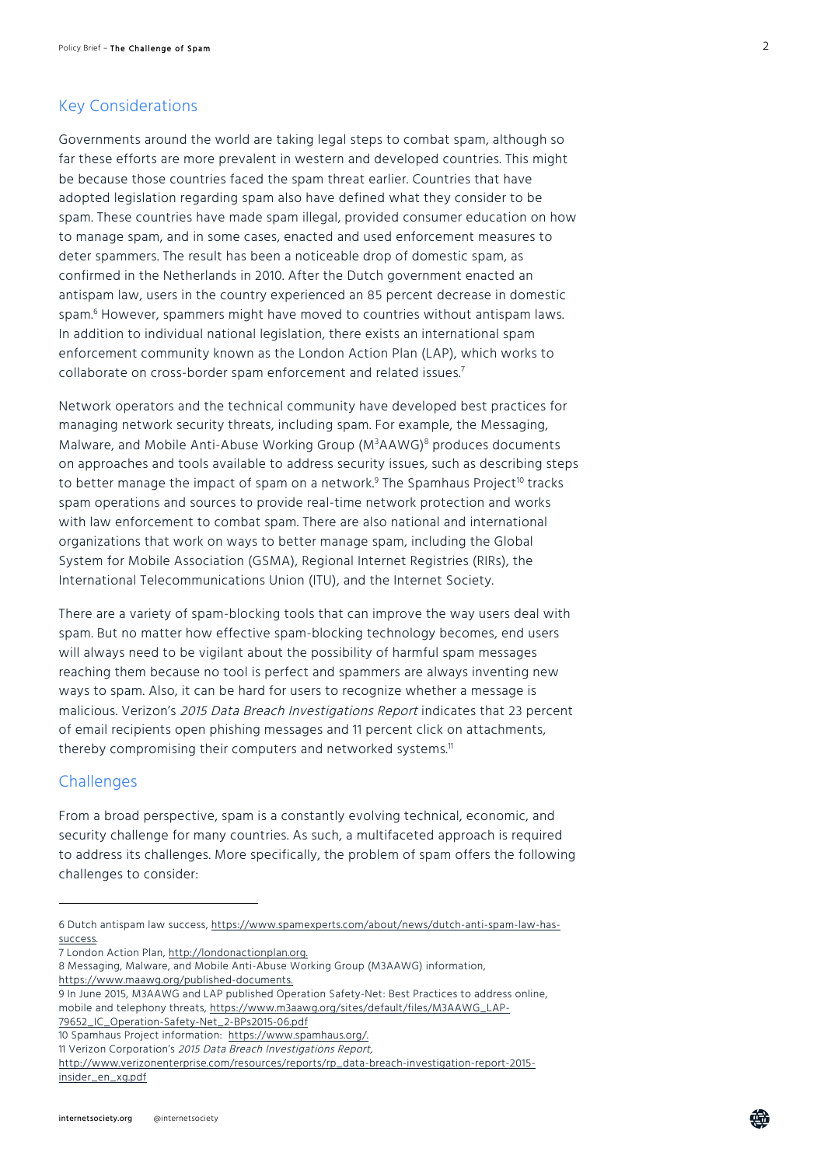#### Key Considerations

Governments around the world are taking legal steps to combat spam, although so far these efforts are more prevalent in western and developed countries. This might be because those countries faced the spam threat earlier. Countries that have adopted legislation regarding spam also have defined what they consider to be spam. These countries have made spam illegal, provided consumer education on how to manage spam, and in some cases, enacted and used enforcement measures to deter spammers. The result has been a noticeable drop of domestic spam, as confirmed in the Netherlands in 2010. After the Dutch government enacted an antispam law, users in the country experienced an 85 percent decrease in domestic spam.<sup>6</sup> However, spammers might have moved to countries without antispam laws. In addition to individual national legislation, there exists an international spam enforcement community known as the London Action Plan (LAP), which works to collaborate on cross-border spam enforcement and related issues.<sup>7</sup>

Network operators and the technical community have developed best practices for managing network security threats, including spam. For example, the Messaging, Malware, and Mobile Anti-Abuse Working Group (M<sup>3</sup>AAWG)<sup>8</sup> produces documents on approaches and tools available to address security issues, such as describing steps to better manage the impact of spam on a network.<sup>9</sup> The Spamhaus Project<sup>10</sup> tracks spam operations and sources to provide real-time network protection and works with law enforcement to combat spam. There are also national and international organizations that work on ways to better manage spam, including the Global System for Mobile Association (GSMA), Regional Internet Registries (RIRs), the International Telecommunications Union (ITU), and the Internet Society.

There are a variety of spam-blocking tools that can improve the way users deal with spam. But no matter how effective spam-blocking technology becomes, end users will always need to be vigilant about the possibility of harmful spam messages reaching them because no tool is perfect and spammers are always inventing new ways to spam. Also, it can be hard for users to recognize whether a message is malicious. Verizon's 2015 Data Breach Investigations Report indicates that 23 percent of email recipients open phishing messages and 11 percent click on attachments, thereby compromising their computers and networked systems.<sup>11</sup>

#### **Challenges**

l

From a broad perspective, spam is a constantly evolving technical, economic, and security challenge for many countries. As such, a multifaceted approach is required to address its challenges. More specifically, the problem of spam offers the following challenges to consider:

7 London Action Plan, http://londonactionplan.org.

孟

<sup>6</sup> Dutch antispam law success, https://www.spamexperts.com/about/news/dutch-anti-spam-law-hassuccess.

<sup>8</sup> Messaging, Malware, and Mobile Anti-Abuse Working Group (M3AAWG) information, https://www.maawg.org/published-documents.

<sup>9</sup> In June 2015, M3AAWG and LAP published Operation Safety-Net: Best Practices to address online, mobile and telephony threats, https://www.m3aawg.org/sites/default/files/M3AAWG\_LAP-79652\_IC\_Operation-Safety-Net\_2-BPs2015-06.pdf

<sup>10</sup> Spamhaus Project information: https://www.spamhaus.org/.

<sup>11</sup> Verizon Corporation's 2015 Data Breach Investigations Report,

http://www.verizonenterprise.com/resources/reports/rp\_data-breach-investigation-report-2015 insider\_en\_xg.pdf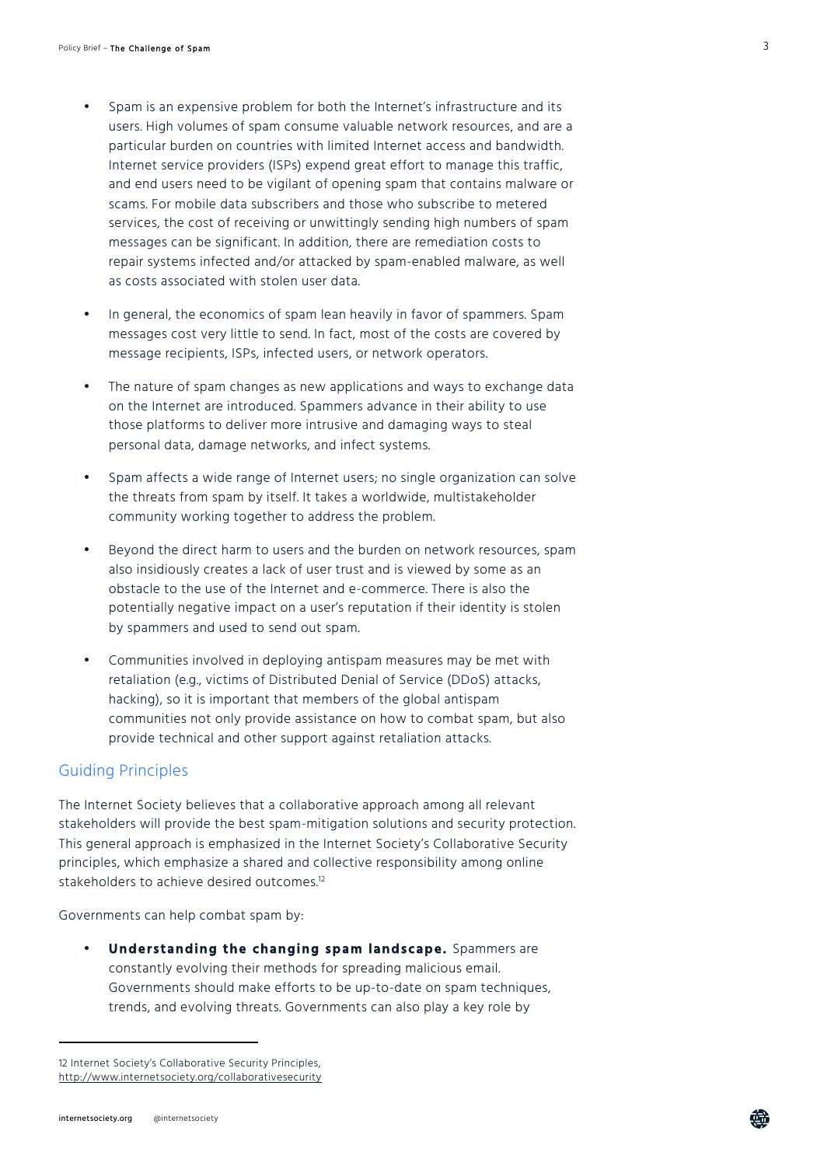- Spam is an expensive problem for both the Internet's infrastructure and its users. High volumes of spam consume valuable network resources, and are a particular burden on countries with limited Internet access and bandwidth. Internet service providers (ISPs) expend great effort to manage this traffic, and end users need to be vigilant of opening spam that contains malware or scams. For mobile data subscribers and those who subscribe to metered services, the cost of receiving or unwittingly sending high numbers of spam messages can be significant. In addition, there are remediation costs to repair systems infected and/or attacked by spam-enabled malware, as well as costs associated with stolen user data.
- In general, the economics of spam lean heavily in favor of spammers. Spam messages cost very little to send. In fact, most of the costs are covered by message recipients, ISPs, infected users, or network operators.
- The nature of spam changes as new applications and ways to exchange data on the Internet are introduced. Spammers advance in their ability to use those platforms to deliver more intrusive and damaging ways to steal personal data, damage networks, and infect systems.
- Spam affects a wide range of Internet users; no single organization can solve the threats from spam by itself. It takes a worldwide, multistakeholder community working together to address the problem.
- Beyond the direct harm to users and the burden on network resources, spam also insidiously creates a lack of user trust and is viewed by some as an obstacle to the use of the Internet and e-commerce. There is also the potentially negative impact on a user's reputation if their identity is stolen by spammers and used to send out spam.
- Communities involved in deploying antispam measures may be met with retaliation (e.g., victims of Distributed Denial of Service (DDoS) attacks, hacking), so it is important that members of the global antispam communities not only provide assistance on how to combat spam, but also provide technical and other support against retaliation attacks.

#### Guiding Principles

The Internet Society believes that a collaborative approach among all relevant stakeholders will provide the best spam-mitigation solutions and security protection. This general approach is emphasized in the Internet Society's Collaborative Security principles, which emphasize a shared and collective responsibility among online stakeholders to achieve desired outcomes.<sup>12</sup>

Governments can help combat spam by:

• **Understanding the changing spam landscape.** Spammers are constantly evolving their methods for spreading malicious email. Governments should make efforts to be up-to-date on spam techniques, trends, and evolving threats. Governments can also play a key role by

l

<sup>12</sup> Internet Society's Collaborative Security Principles, http://www.internetsociety.org/collaborativesecurity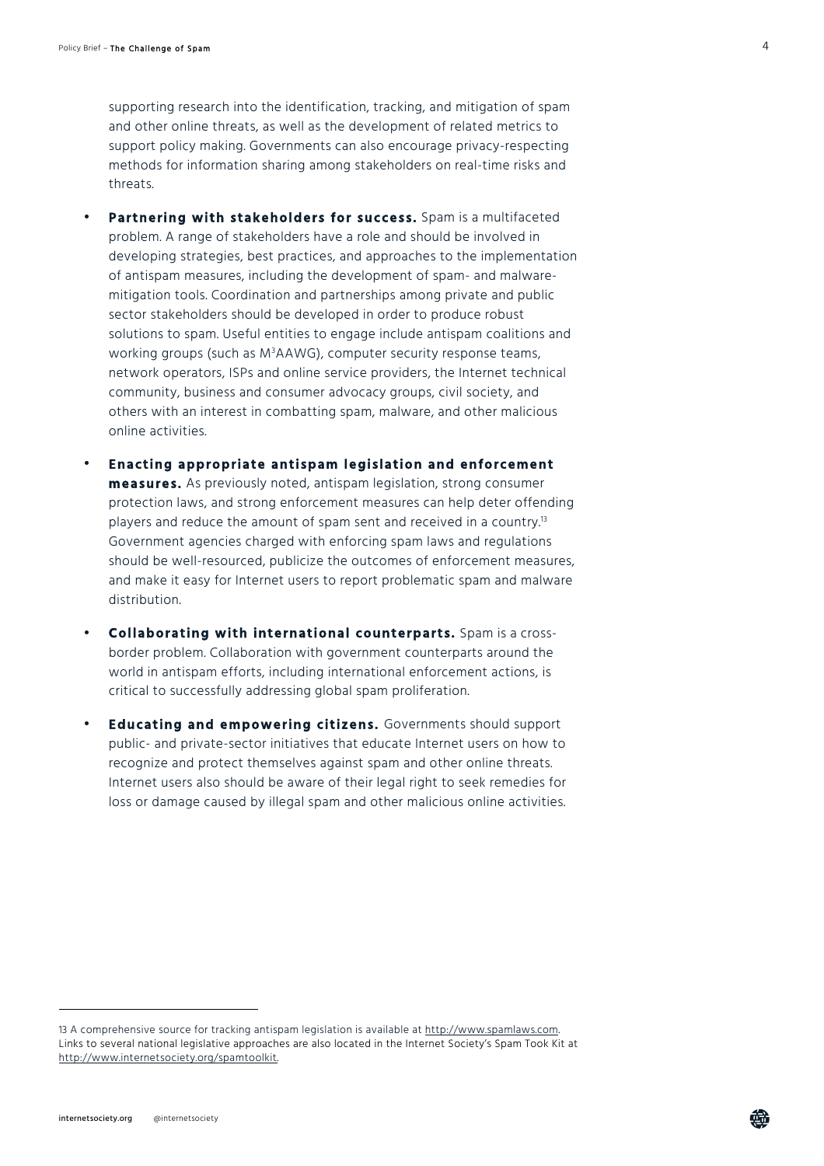supporting research into the identification, tracking, and mitigation of spam and other online threats, as well as the development of related metrics to support policy making. Governments can also encourage privacy-respecting methods for information sharing among stakeholders on real-time risks and threats.

- **Partnering with stakeholders for success.** Spam is a multifaceted problem. A range of stakeholders have a role and should be involved in developing strategies, best practices, and approaches to the implementation of antispam measures, including the development of spam- and malwaremitigation tools. Coordination and partnerships among private and public sector stakeholders should be developed in order to produce robust solutions to spam. Useful entities to engage include antispam coalitions and working groups (such as M<sup>3</sup> AAWG), computer security response teams, network operators, ISPs and online service providers, the Internet technical community, business and consumer advocacy groups, civil society, and others with an interest in combatting spam, malware, and other malicious online activities.
- **Enacting appropriate antispam legislation and enforcement measures.** As previously noted, antispam legislation, strong consumer protection laws, and strong enforcement measures can help deter offending players and reduce the amount of spam sent and received in a country.<sup>13</sup> Government agencies charged with enforcing spam laws and regulations should be well-resourced, publicize the outcomes of enforcement measures, and make it easy for Internet users to report problematic spam and malware distribution.
- **Collaborating with international counterparts.** Spam is a crossborder problem. Collaboration with government counterparts around the world in antispam efforts, including international enforcement actions, is critical to successfully addressing global spam proliferation.
- **Educating and empowering citizens.** Governments should support public- and private-sector initiatives that educate Internet users on how to recognize and protect themselves against spam and other online threats. Internet users also should be aware of their legal right to seek remedies for loss or damage caused by illegal spam and other malicious online activities.

l

<sup>13</sup> A comprehensive source for tracking antispam legislation is available at http://www.spamlaws.com. Links to several national legislative approaches are also located in the Internet Society's Spam Took Kit at http://www.internetsociety.org/spamtoolkit.